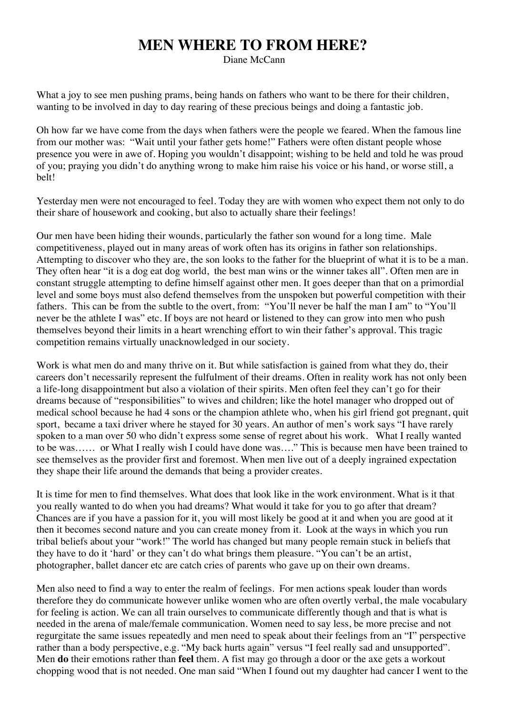## **MEN WHERE TO FROM HERE?**

Diane McCann

What a joy to see men pushing prams, being hands on fathers who want to be there for their children, wanting to be involved in day to day rearing of these precious beings and doing a fantastic job.

Oh how far we have come from the days when fathers were the people we feared. When the famous line from our mother was: "Wait until your father gets home!" Fathers were often distant people whose presence you were in awe of. Hoping you wouldn't disappoint; wishing to be held and told he was proud of you; praying you didn't do anything wrong to make him raise his voice or his hand, or worse still, a belt!

Yesterday men were not encouraged to feel. Today they are with women who expect them not only to do their share of housework and cooking, but also to actually share their feelings!

Our men have been hiding their wounds, particularly the father son wound for a long time. Male competitiveness, played out in many areas of work often has its origins in father son relationships. Attempting to discover who they are, the son looks to the father for the blueprint of what it is to be a man. They often hear "it is a dog eat dog world, the best man wins or the winner takes all". Often men are in constant struggle attempting to define himself against other men. It goes deeper than that on a primordial level and some boys must also defend themselves from the unspoken but powerful competition with their fathers. This can be from the subtle to the overt, from: "You'll never be half the man I am" to "You'll never be the athlete I was" etc. If boys are not heard or listened to they can grow into men who push themselves beyond their limits in a heart wrenching effort to win their father's approval. This tragic competition remains virtually unacknowledged in our society.

Work is what men do and many thrive on it. But while satisfaction is gained from what they do, their careers don't necessarily represent the fulfulment of their dreams. Often in reality work has not only been a life-long disappointment but also a violation of their spirits. Men often feel they can't go for their dreams because of "responsibilities" to wives and children; like the hotel manager who dropped out of medical school because he had 4 sons or the champion athlete who, when his girl friend got pregnant, quit sport, became a taxi driver where he stayed for 30 years. An author of men's work says "I have rarely spoken to a man over 50 who didn't express some sense of regret about his work. What I really wanted to be was…… or What I really wish I could have done was…." This is because men have been trained to see themselves as the provider first and foremost. When men live out of a deeply ingrained expectation they shape their life around the demands that being a provider creates.

It is time for men to find themselves. What does that look like in the work environment. What is it that you really wanted to do when you had dreams? What would it take for you to go after that dream? Chances are if you have a passion for it, you will most likely be good at it and when you are good at it then it becomes second nature and you can create money from it. Look at the ways in which you run tribal beliefs about your "work!" The world has changed but many people remain stuck in beliefs that they have to do it 'hard' or they can't do what brings them pleasure. "You can't be an artist, photographer, ballet dancer etc are catch cries of parents who gave up on their own dreams.

Men also need to find a way to enter the realm of feelings. For men actions speak louder than words therefore they do communicate however unlike women who are often overtly verbal, the male vocabulary for feeling is action. We can all train ourselves to communicate differently though and that is what is needed in the arena of male/female communication. Women need to say less, be more precise and not regurgitate the same issues repeatedly and men need to speak about their feelings from an "I" perspective rather than a body perspective, e.g. "My back hurts again" versus "I feel really sad and unsupported". Men **do** their emotions rather than **feel** them. A fist may go through a door or the axe gets a workout chopping wood that is not needed. One man said "When I found out my daughter had cancer I went to the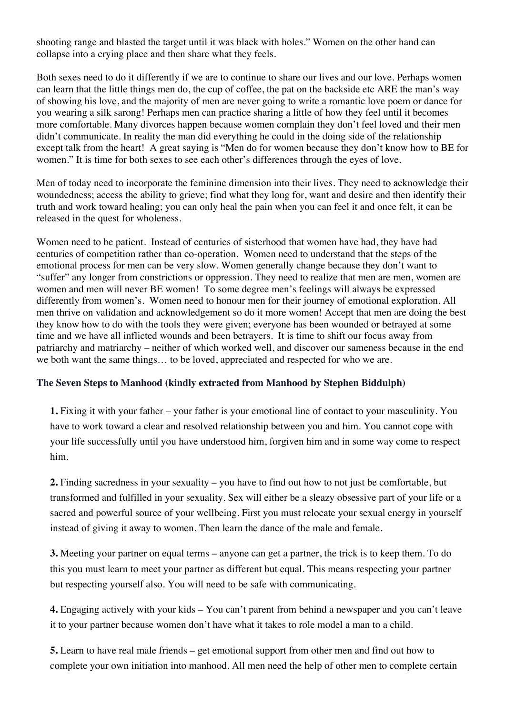shooting range and blasted the target until it was black with holes." Women on the other hand can collapse into a crying place and then share what they feels.

Both sexes need to do it differently if we are to continue to share our lives and our love. Perhaps women can learn that the little things men do, the cup of coffee, the pat on the backside etc ARE the man's way of showing his love, and the majority of men are never going to write a romantic love poem or dance for you wearing a silk sarong! Perhaps men can practice sharing a little of how they feel until it becomes more comfortable. Many divorces happen because women complain they don't feel loved and their men didn't communicate. In reality the man did everything he could in the doing side of the relationship except talk from the heart! A great saying is "Men do for women because they don't know how to BE for women." It is time for both sexes to see each other's differences through the eyes of love.

Men of today need to incorporate the feminine dimension into their lives. They need to acknowledge their woundedness; access the ability to grieve; find what they long for, want and desire and then identify their truth and work toward healing; you can only heal the pain when you can feel it and once felt, it can be released in the quest for wholeness.

Women need to be patient. Instead of centuries of sisterhood that women have had, they have had centuries of competition rather than co-operation. Women need to understand that the steps of the emotional process for men can be very slow. Women generally change because they don't want to "suffer" any longer from constrictions or oppression. They need to realize that men are men, women are women and men will never BE women! To some degree men's feelings will always be expressed differently from women's. Women need to honour men for their journey of emotional exploration. All men thrive on validation and acknowledgement so do it more women! Accept that men are doing the best they know how to do with the tools they were given; everyone has been wounded or betrayed at some time and we have all inflicted wounds and been betrayers. It is time to shift our focus away from patriarchy and matriarchy – neither of which worked well, and discover our sameness because in the end we both want the same things… to be loved, appreciated and respected for who we are.

## **The Seven Steps to Manhood (kindly extracted from Manhood by Stephen Biddulph)**

**1.** Fixing it with your father – your father is your emotional line of contact to your masculinity. You have to work toward a clear and resolved relationship between you and him. You cannot cope with your life successfully until you have understood him, forgiven him and in some way come to respect him.

**2.** Finding sacredness in your sexuality – you have to find out how to not just be comfortable, but transformed and fulfilled in your sexuality. Sex will either be a sleazy obsessive part of your life or a sacred and powerful source of your wellbeing. First you must relocate your sexual energy in yourself instead of giving it away to women. Then learn the dance of the male and female.

**3.** Meeting your partner on equal terms – anyone can get a partner, the trick is to keep them. To do this you must learn to meet your partner as different but equal. This means respecting your partner but respecting yourself also. You will need to be safe with communicating.

**4.** Engaging actively with your kids – You can't parent from behind a newspaper and you can't leave it to your partner because women don't have what it takes to role model a man to a child.

**5.** Learn to have real male friends – get emotional support from other men and find out how to complete your own initiation into manhood. All men need the help of other men to complete certain